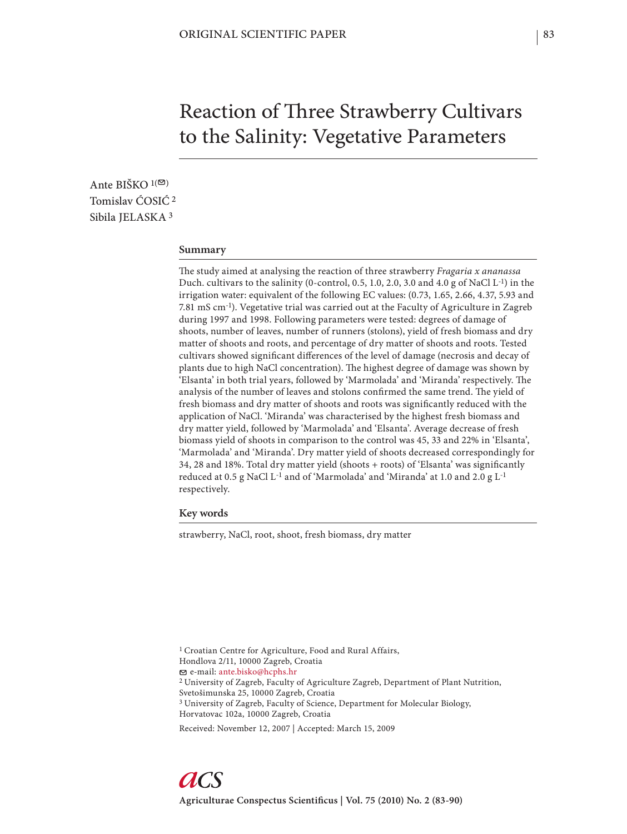# Reaction of Three Strawberry Cultivars to the Salinity: Vegetative Parameters

Ante BIŠKO  $1(\mathfrak{D})$ Tomislav ĆOSIĆ 2 Sibila IELASKA<sup>3</sup>

#### **Summary**

The study aimed at analysing the reaction of three strawberry *Fragaria x ananassa* Duch. cultivars to the salinity (0-control, 0.5, 1.0, 2.0, 3.0 and 4.0 g of NaCl  $L^{-1}$ ) in the irrigation water: equivalent of the following EC values: (0.73, 1.65, 2.66, 4.37, 5.93 and 7.81 mS cm-1). Vegetative trial was carried out at the Faculty of Agriculture in Zagreb during 1997 and 1998. Following parameters were tested: degrees of damage of shoots, number of leaves, number of runners (stolons), yield of fresh biomass and dry matter of shoots and roots, and percentage of dry matter of shoots and roots. Tested cultivars showed significant differences of the level of damage (necrosis and decay of plants due to high NaCl concentration). The highest degree of damage was shown by 'Elsanta' in both trial years, followed by 'Marmolada' and 'Miranda' respectively. The analysis of the number of leaves and stolons confirmed the same trend. The yield of fresh biomass and dry matter of shoots and roots was significantly reduced with the application of NaCl. 'Miranda' was characterised by the highest fresh biomass and dry matter yield, followed by 'Marmolada' and 'Elsanta'. Average decrease of fresh biomass yield of shoots in comparison to the control was 45, 33 and 22% in 'Elsanta', 'Marmolada' and 'Miranda'. Dry matter yield of shoots decreased correspondingly for 34, 28 and 18%. Total dry matter yield (shoots + roots) of 'Elsanta' was significantly reduced at 0.5 g NaCl L-1 and of 'Marmolada' and 'Miranda' at 1.0 and 2.0 g L-1 respectively.

**Key words**

strawberry, NaCl, root, shoot, fresh biomass, dry matter

1 Croatian Centre for Agriculture, Food and Rural Affairs, Hondlova 2/11, 10000 Zagreb, Croatia e-mail: ante.bisko@hcphs.hr 2 University of Zagreb, Faculty of Agriculture Zagreb, Department of Plant Nutrition, Svetošimunska 25, 10000 Zagreb, Croatia <sup>3</sup> University of Zagreb, Faculty of Science, Department for Molecular Biology, Horvatovac 102a, 10000 Zagreb, Croatia

Received: November 12, 2007 | Accepted: March 15, 2009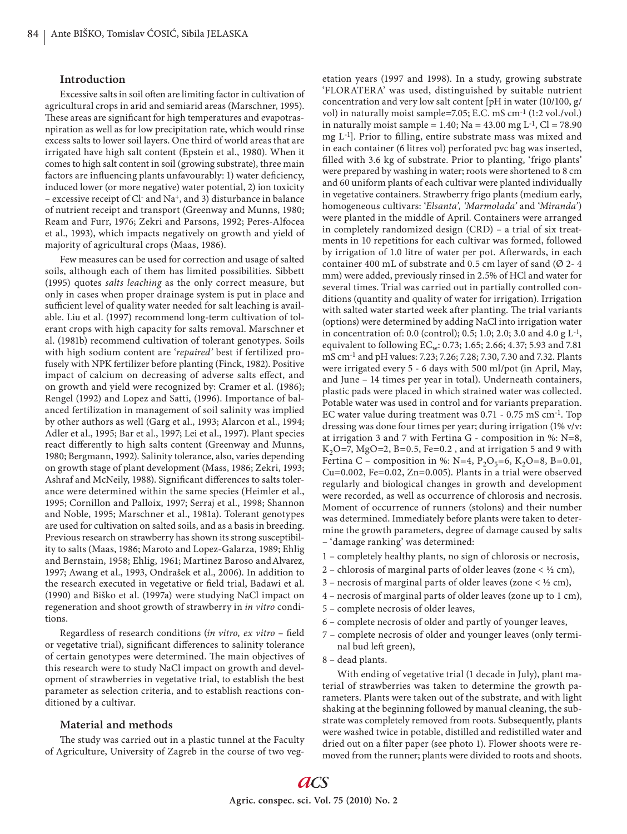# **Introduction**

Excessive salts in soil often are limiting factor in cultivation of agricultural crops in arid and semiarid areas (Marschner, 1995). These areas are significant for high temperatures and evapotrasnpiration as well as for low precipitation rate, which would rinse excess salts to lower soil layers. One third of world areas that are irrigated have high salt content (Epstein et al., 1980). When it comes to high salt content in soil (growing substrate), three main factors are influencing plants unfavourably: 1) water deficiency, induced lower (or more negative) water potential, 2) ion toxicity – excessive receipt of Cl- and Na+, and 3) disturbance in balance of nutrient receipt and transport (Greenway and Munns, 1980; Ream and Furr, 1976; Zekri and Parsons, 1992; Peres-Alfocea et al., 1993), which impacts negatively on growth and yield of majority of agricultural crops (Maas, 1986).

Few measures can be used for correction and usage of salted soils, although each of them has limited possibilities. Sibbett (1995) quotes *salts leaching* as the only correct measure, but only in cases when proper drainage system is put in place and sufficient level of quality water needed for salt leaching is available. Liu et al. (1997) recommend long-term cultivation of tolerant crops with high capacity for salts removal. Marschner et al. (1981b) recommend cultivation of tolerant genotypes. Soils with high sodium content are '*repaired'* best if fertilized profusely with NPK fertilizer before planting (Finck, 1982). Positive impact of calcium on decreasing of adverse salts effect, and on growth and yield were recognized by: Cramer et al. (1986); Rengel (1992) and Lopez and Satti, (1996). Importance of balanced fertilization in management of soil salinity was implied by other authors as well (Garg et al., 1993; Alarcon et al., 1994; Adler et al., 1995; Bar et al., 1997; Lei et al., 1997). Plant species react differently to high salts content (Greenway and Munns, 1980; Bergmann, 1992). Salinity tolerance, also, varies depending on growth stage of plant development (Mass, 1986; Zekri, 1993; Ashraf and McNeily, 1988). Significant differences to salts tolerance were determined within the same species (Heimler et al., 1995; Cornillon and Palloix, 1997; Serraj et al., 1998; Shannon and Noble, 1995; Marschner et al., 1981a). Tolerant genotypes are used for cultivation on salted soils, and as a basis in breeding. Previous research on strawberry has shown its strong susceptibility to salts (Maas, 1986; Maroto and Lopez-Galarza, 1989; Ehlig and Bernstain, 1958; Ehlig, 1961; Martinez Baroso and Alvarez, 1997; Awang et al., 1993, Ondrašek et al., 2006). In addition to the research executed in vegetative or field trial, Badawi et al. (1990) and Biško et al. (1997a) were studying NaCl impact on regeneration and shoot growth of strawberry in *in vitro* conditions.

Regardless of research conditions (*in vitro, ex vitro* – field or vegetative trial), significant differences to salinity tolerance of certain genotypes were determined. The main objectives of this research were to study NaCl impact on growth and development of strawberries in vegetative trial, to establish the best parameter as selection criteria, and to establish reactions conditioned by a cultivar.

## **Material and methods**

The study was carried out in a plastic tunnel at the Faculty of Agriculture, University of Zagreb in the course of two vegetation years (1997 and 1998). In a study, growing substrate 'FLORATERA' was used, distinguished by suitable nutrient concentration and very low salt content [pH in water (10/100, g/ vol) in naturally moist sample=7.05; E.C. mS cm-1 (1:2 vol./vol.) in naturally moist sample = 1.40; Na = 43.00 mg  $L^{-1}$ , Cl = 78.90 mg  $L^{-1}$ ]. Prior to filling, entire substrate mass was mixed and in each container (6 litres vol) perforated pvc bag was inserted, fi lled with 3.6 kg of substrate. Prior to planting, 'frigo plants' were prepared by washing in water; roots were shortened to 8 cm and 60 uniform plants of each cultivar were planted individually in vegetative containers. Strawberry frigo plants (medium early, homogeneous cultivars: '*Elsanta', 'Marmolada'* and '*Miranda'*) were planted in the middle of April. Containers were arranged in completely randomized design (CRD) – a trial of six treatments in 10 repetitions for each cultivar was formed, followed by irrigation of 1.0 litre of water per pot. Afterwards, in each container 400 mL of substrate and 0.5 cm layer of sand  $(Ø 2-4)$ mm) were added, previously rinsed in 2.5% of HCl and water for several times. Trial was carried out in partially controlled conditions (quantity and quality of water for irrigation). Irrigation with salted water started week after planting. The trial variants (options) were determined by adding NaCl into irrigation water in concentration of: 0.0 (control); 0.5; 1.0; 2.0; 3.0 and 4.0 g L-1, equivalent to following  $EC_w$ : 0.73; 1.65; 2.66; 4.37; 5.93 and 7.81 mS cm-1 and pH values: 7.23; 7.26; 7.28; 7.30, 7.30 and 7.32. Plants were irrigated every 5 - 6 days with 500 ml/pot (in April, May, and June – 14 times per year in total). Underneath containers, plastic pads were placed in which strained water was collected. Potable water was used in control and for variants preparation. EC water value during treatment was 0.71 - 0.75 mS cm-1. Top dressing was done four times per year; during irrigation (1% v/v: at irrigation 3 and 7 with Fertina G - composition in %: N=8,  $K<sub>2</sub>O=7$ , MgO=2, B=0.5, Fe=0.2, and at irrigation 5 and 9 with Fertina C – composition in %: N=4,  $P_2O_5=6$ ,  $K_2O=8$ , B=0.01, Cu=0.002, Fe=0.02, Zn=0.005). Plants in a trial were observed regularly and biological changes in growth and development were recorded, as well as occurrence of chlorosis and necrosis. Moment of occurrence of runners (stolons) and their number was determined. Immediately before plants were taken to determine the growth parameters, degree of damage caused by salts – 'damage ranking' was determined:

- 1 completely healthy plants, no sign of chlorosis or necrosis,
- 2 chlorosis of marginal parts of older leaves (zone  $\lt \frac{1}{2}$  cm),
- 3 necrosis of marginal parts of older leaves (zone  $<$  ½ cm),
- 4 necrosis of marginal parts of older leaves (zone up to 1 cm),
- 5 complete necrosis of older leaves,
- 6 complete necrosis of older and partly of younger leaves,
- 7 complete necrosis of older and younger leaves (only terminal bud left green),
- 8 dead plants.

With ending of vegetative trial (1 decade in July), plant material of strawberries was taken to determine the growth parameters. Plants were taken out of the substrate, and with light shaking at the beginning followed by manual cleaning, the substrate was completely removed from roots. Subsequently, plants were washed twice in potable, distilled and redistilled water and dried out on a filter paper (see photo 1). Flower shoots were removed from the runner; plants were divided to roots and shoots.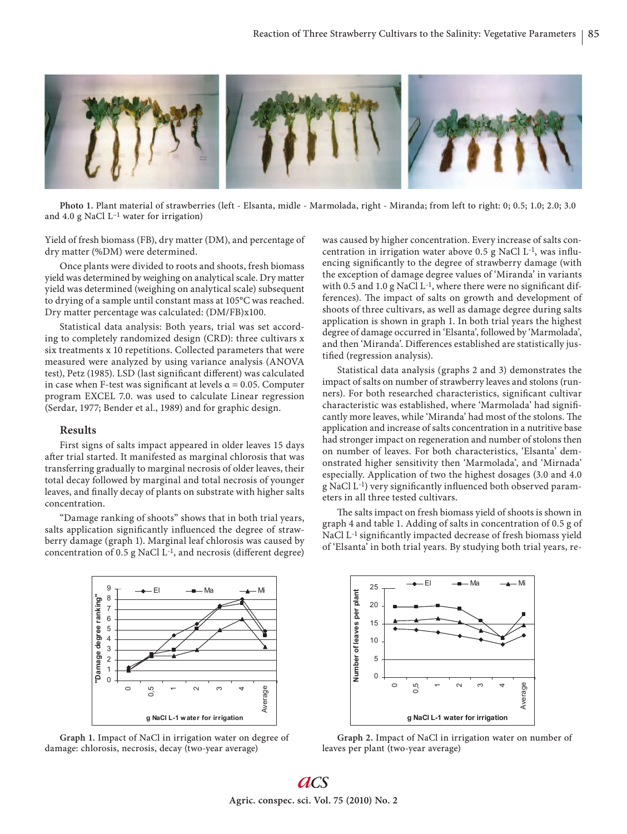

**Photo 1.** Plant material of strawberries (left - Elsanta, midle - Marmolada, right - Miranda; from left to right: 0; 0.5; 1.0; 2.0; 3.0 and 4.0 g NaCl  $L^{-1}$  water for irrigation)

Yield of fresh biomass (FB), dry matter (DM), and percentage of dry matter (%DM) were determined.

Once plants were divided to roots and shoots, fresh biomass yield was determined by weighing on analytical scale. Dry matter yield was determined (weighing on analytical scale) subsequent to drying of a sample until constant mass at 105°C was reached. Dry matter percentage was calculated: (DM/FB)x100.

Statistical data analysis: Both years, trial was set according to completely randomized design (CRD): three cultivars x six treatments x 10 repetitions. Collected parameters that were measured were analyzed by using variance analysis (ANOVA test), Petz (1985). LSD (last significant different) was calculated in case when F-test was significant at levels  $\alpha$  = 0.05. Computer program EXCEL 7.0. was used to calculate Linear regression (Serdar, 1977; Bender et al., 1989) and for graphic design.

#### **Results**

First signs of salts impact appeared in older leaves 15 days after trial started. It manifested as marginal chlorosis that was transferring gradually to marginal necrosis of older leaves, their total decay followed by marginal and total necrosis of younger leaves, and finally decay of plants on substrate with higher salts concentration.

"Damage ranking of shoots" shows that in both trial years, salts application significantly influenced the degree of strawberry damage (graph 1). Marginal leaf chlorosis was caused by concentration of 0.5 g NaCl  $L^{-1}$ , and necrosis (different degree)



**Graph 1.** Impact of NaCl in irrigation water on degree of damage: chlorosis, necrosis, decay (two-year average)

was caused by higher concentration. Every increase of salts concentration in irrigation water above 0.5 g NaCl  $L$ <sup>-1</sup>, was influencing significantly to the degree of strawberry damage (with the exception of damage degree values of 'Miranda' in variants with 0.5 and 1.0 g NaCl  $L^{-1}$ , where there were no significant differences). The impact of salts on growth and development of shoots of three cultivars, as well as damage degree during salts application is shown in graph 1. In both trial years the highest degree of damage occurred in 'Elsanta', followed by 'Marmolada', and then 'Miranda'. Differences established are statistically justified (regression analysis).

Statistical data analysis (graphs 2 and 3) demonstrates the impact of salts on number of strawberry leaves and stolons (runners). For both researched characteristics, significant cultivar characteristic was established, where 'Marmolada' had signifi cantly more leaves, while 'Miranda' had most of the stolons. The application and increase of salts concentration in a nutritive base had stronger impact on regeneration and number of stolons then on number of leaves. For both characteristics, 'Elsanta' demonstrated higher sensitivity then 'Marmolada', and 'Mirnada' especially. Application of two the highest dosages (3.0 and 4.0 g NaCl L<sup>-1</sup>) very significantly influenced both observed parameters in all three tested cultivars.

The salts impact on fresh biomass yield of shoots is shown in graph 4 and table 1. Adding of salts in concentration of 0.5 g of NaCl L<sup>-1</sup> significantly impacted decrease of fresh biomass yield of 'Elsanta' in both trial years. By studying both trial years, re-



**Graph 2.** Impact of NaCl in irrigation water on number of leaves per plant (two-year average)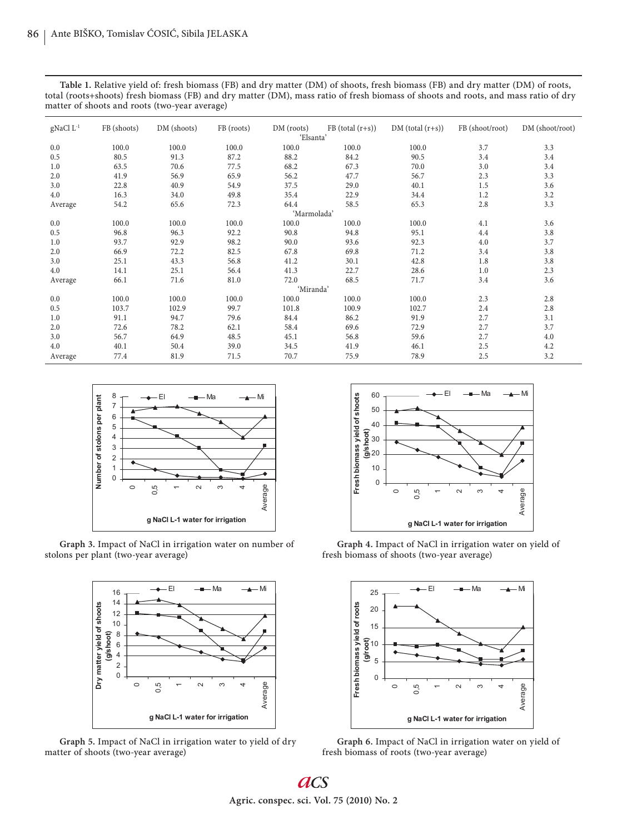**Table 1.** Relative yield of: fresh biomass (FB) and dry matter (DM) of shoots, fresh biomass (FB) and dry matter (DM) of roots, total (roots+shoots) fresh biomass (FB) and dry matter (DM), mass ratio of fresh biomass of shoots and roots, and mass ratio of dry matter of shoots and roots (two-year average)

| gNaCl $L^{-1}$ | FB (shoots) | DM (shoots) | FB (roots) | DM (roots) | $FB (total (r+s))$ | $DM (total (r+s))$ | FB (shoot/root) | DM (shoot/root) |
|----------------|-------------|-------------|------------|------------|--------------------|--------------------|-----------------|-----------------|
| 'Elsanta'      |             |             |            |            |                    |                    |                 |                 |
| 0.0            | 100.0       | 100.0       | 100.0      | 100.0      | 100.0              | 100.0              | 3.7             | 3.3             |
| 0.5            | 80.5        | 91.3        | 87.2       | 88.2       | 84.2               | 90.5               | 3.4             | 3.4             |
| 1.0            | 63.5        | 70.6        | 77.5       | 68.2       | 67.3               | 70.0               | 3.0             | 3.4             |
| 2.0            | 41.9        | 56.9        | 65.9       | 56.2       | 47.7               | 56.7               | 2.3             | 3.3             |
| 3.0            | 22.8        | 40.9        | 54.9       | 37.5       | 29.0               | 40.1               | 1.5             | 3.6             |
| 4.0            | 16.3        | 34.0        | 49.8       | 35.4       | 22.9               | 34.4               | 1.2             | 3.2             |
| Average        | 54.2        | 65.6        | 72.3       | 64.4       | 58.5               | 65.3               | 2.8             | 3.3             |
| 'Marmolada'    |             |             |            |            |                    |                    |                 |                 |
| 0.0            | 100.0       | 100.0       | 100.0      | 100.0      | 100.0              | 100.0              | 4.1             | 3.6             |
| 0.5            | 96.8        | 96.3        | 92.2       | 90.8       | 94.8               | 95.1               | 4.4             | 3.8             |
| 1.0            | 93.7        | 92.9        | 98.2       | 90.0       | 93.6               | 92.3               | 4.0             | 3.7             |
| 2.0            | 66.9        | 72.2        | 82.5       | 67.8       | 69.8               | 71.2               | 3.4             | 3.8             |
| 3.0            | 25.1        | 43.3        | 56.8       | 41.2       | 30.1               | 42.8               | 1.8             | 3.8             |
| 4.0            | 14.1        | 25.1        | 56.4       | 41.3       | 22.7               | 28.6               | 1.0             | 2.3             |
| Average        | 66.1        | 71.6        | 81.0       | 72.0       | 68.5               | 71.7               | 3.4             | 3.6             |
| 'Miranda'      |             |             |            |            |                    |                    |                 |                 |
| 0.0            | 100.0       | 100.0       | 100.0      | 100.0      | 100.0              | 100.0              | 2.3             | 2.8             |
| 0.5            | 103.7       | 102.9       | 99.7       | 101.8      | 100.9              | 102.7              | 2.4             | 2.8             |
| 1.0            | 91.1        | 94.7        | 79.6       | 84.4       | 86.2               | 91.9               | 2.7             | 3.1             |
| 2.0            | 72.6        | 78.2        | 62.1       | 58.4       | 69.6               | 72.9               | 2.7             | 3.7             |
| 3.0            | 56.7        | 64.9        | 48.5       | 45.1       | 56.8               | 59.6               | 2.7             | 4.0             |
| 4.0            | 40.1        | 50.4        | 39.0       | 34.5       | 41.9               | 46.1               | 2.5             | 4.2             |
| Average        | 77.4        | 81.9        | 71.5       | 70.7       | 75.9               | 78.9               | 2.5             | 3.2             |



**Graph 3.** Impact of NaCl in irrigation water on number of stolons per plant (two-year average)



**Graph 5.** Impact of NaCl in irrigation water to yield of dry matter of shoots (two-year average)



**Graph 4.** Impact of NaCl in irrigation water on yield of fresh biomass of shoots (two-year average)



**Graph 6.** Impact of NaCl in irrigation water on yield of fresh biomass of roots (two-year average)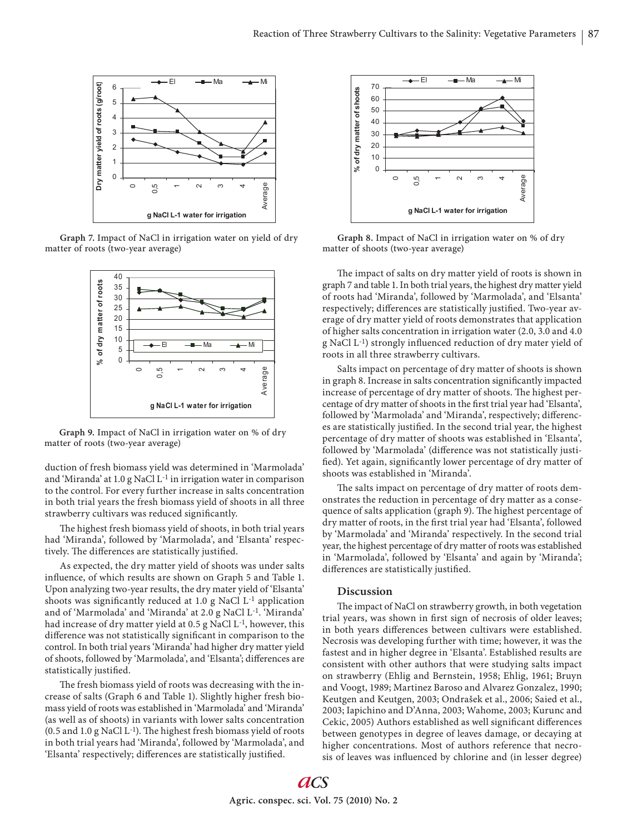

**Graph 7.** Impact of NaCl in irrigation water on yield of dry matter of roots (two-year average)



**Graph 9.** Impact of NaCl in irrigation water on % of dry matter of roots (two-year average)

duction of fresh biomass yield was determined in 'Marmolada' and 'Miranda' at 1.0 g NaCl L-1 in irrigation water in comparison to the control. For every further increase in salts concentration in both trial years the fresh biomass yield of shoots in all three strawberry cultivars was reduced significantly.

The highest fresh biomass yield of shoots, in both trial years had 'Miranda', followed by 'Marmolada', and 'Elsanta' respectively. The differences are statistically justified.

As expected, the dry matter yield of shoots was under salts influence, of which results are shown on Graph 5 and Table 1. Upon analyzing two-year results, the dry mater yield of 'Elsanta' shoots was significantly reduced at 1.0 g NaCl  $L^{-1}$  application and of 'Marmolada' and 'Miranda' at 2.0 g NaCl L-1. 'Miranda' had increase of dry matter yield at 0.5 g NaCl L-1, however, this difference was not statistically significant in comparison to the control. In both trial years 'Miranda' had higher dry matter yield of shoots, followed by 'Marmolada', and 'Elsanta'; differences are statistically justified.

The fresh biomass yield of roots was decreasing with the increase of salts (Graph 6 and Table 1). Slightly higher fresh biomass yield of roots was established in 'Marmolada' and 'Miranda' (as well as of shoots) in variants with lower salts concentration  $(0.5$  and  $1.0$  g NaCl L<sup>-1</sup>). The highest fresh biomass yield of roots in both trial years had 'Miranda', followed by 'Marmolada', and 'Elsanta' respectively; differences are statistically justified.



**Graph 8.** Impact of NaCl in irrigation water on % of dry matter of shoots (two-year average)

The impact of salts on dry matter yield of roots is shown in graph 7 and table 1. In both trial years, the highest dry matter yield of roots had 'Miranda', followed by 'Marmolada', and 'Elsanta' respectively; differences are statistically justified. Two-year average of dry matter yield of roots demonstrates that application of higher salts concentration in irrigation water (2.0, 3.0 and 4.0 g NaCl L<sup>-1</sup>) strongly influenced reduction of dry mater yield of roots in all three strawberry cultivars.

Salts impact on percentage of dry matter of shoots is shown in graph 8. Increase in salts concentration significantly impacted increase of percentage of dry matter of shoots. The highest percentage of dry matter of shoots in the first trial year had 'Elsanta', followed by 'Marmolada' and 'Miranda', respectively; differences are statistically justified. In the second trial year, the highest percentage of dry matter of shoots was established in 'Elsanta', followed by 'Marmolada' (difference was not statistically justified). Yet again, significantly lower percentage of dry matter of shoots was established in 'Miranda'.

The salts impact on percentage of dry matter of roots demonstrates the reduction in percentage of dry matter as a consequence of salts application (graph 9). The highest percentage of dry matter of roots, in the first trial year had 'Elsanta', followed by 'Marmolada' and 'Miranda' respectively. In the second trial year, the highest percentage of dry matter of roots was established in 'Marmolada', followed by 'Elsanta' and again by 'Miranda'; differences are statistically justified.

# **Discussion**

The impact of NaCl on strawberry growth, in both vegetation trial years, was shown in first sign of necrosis of older leaves; in both years differences between cultivars were established. Necrosis was developing further with time; however, it was the fastest and in higher degree in 'Elsanta'. Established results are consistent with other authors that were studying salts impact on strawberry (Ehlig and Bernstein, 1958; Ehlig, 1961; Bruyn and Voogt, 1989; Martinez Baroso and Alvarez Gonzalez, 1990; Keutgen and Keutgen, 2003; Ondrašek et al., 2006; Saied et al., 2003; Iapichino and D'Anna, 2003; Wahome, 2003; Kurunc and Cekic, 2005) Authors established as well significant differences between genotypes in degree of leaves damage, or decaying at higher concentrations. Most of authors reference that necrosis of leaves was influenced by chlorine and (in lesser degree)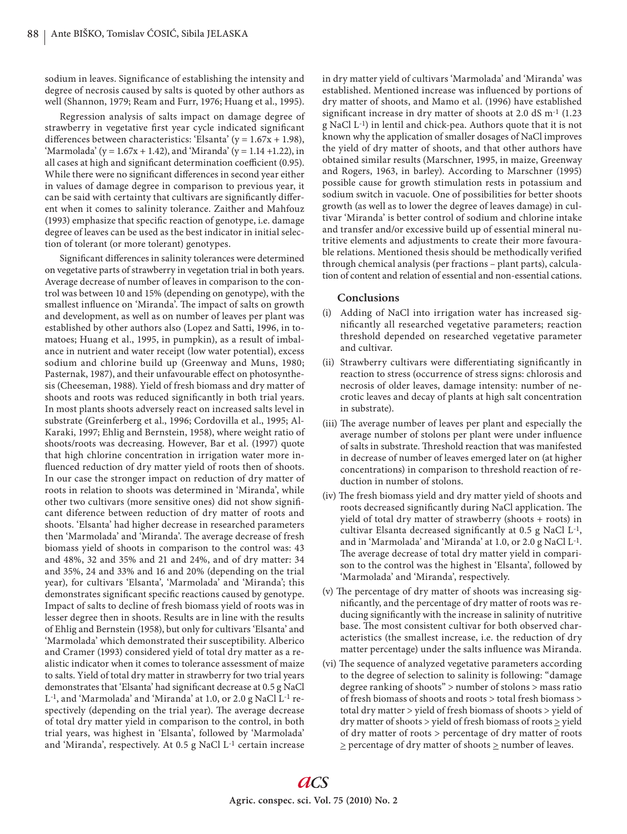sodium in leaves. Significance of establishing the intensity and degree of necrosis caused by salts is quoted by other authors as well (Shannon, 1979; Ream and Furr, 1976; Huang et al., 1995).

Regression analysis of salts impact on damage degree of strawberry in vegetative first year cycle indicated significant differences between characteristics: 'Elsanta' ( $y = 1.67x + 1.98$ ), 'Marmolada' (y =  $1.67x + 1.42$ ), and 'Miranda' (y =  $1.14 + 1.22$ ), in all cases at high and significant determination coefficient (0.95). While there were no significant differences in second year either in values of damage degree in comparison to previous year, it can be said with certainty that cultivars are significantly different when it comes to salinity tolerance. Zaither and Mahfouz (1993) emphasize that specific reaction of genotype, i.e. damage degree of leaves can be used as the best indicator in initial selection of tolerant (or more tolerant) genotypes.

Significant differences in salinity tolerances were determined on vegetative parts of strawberry in vegetation trial in both years. Average decrease of number of leaves in comparison to the control was between 10 and 15% (depending on genotype), with the smallest influence on 'Miranda'. The impact of salts on growth and development, as well as on number of leaves per plant was established by other authors also (Lopez and Satti, 1996, in tomatoes; Huang et al., 1995, in pumpkin), as a result of imbalance in nutrient and water receipt (low water potential), excess sodium and chlorine build up (Greenway and Muns, 1980; Pasternak, 1987), and their unfavourable effect on photosynthesis (Cheeseman, 1988). Yield of fresh biomass and dry matter of shoots and roots was reduced significantly in both trial years. In most plants shoots adversely react on increased salts level in substrate (Greinferberg et al., 1996; Cordovilla et al., 1995; Al-Karaki, 1997; Ehlig and Bernstein, 1958), where weight ratio of shoots/roots was decreasing. However, Bar et al. (1997) quote that high chlorine concentration in irrigation water more influenced reduction of dry matter yield of roots then of shoots. In our case the stronger impact on reduction of dry matter of roots in relation to shoots was determined in 'Miranda', while other two cultivars (more sensitive ones) did not show significant diference between reduction of dry matter of roots and shoots. 'Elsanta' had higher decrease in researched parameters then 'Marmolada' and 'Miranda'. The average decrease of fresh biomass yield of shoots in comparison to the control was: 43 and 48%, 32 and 35% and 21 and 24%, and of dry matter: 34 and 35%, 24 and 33% and 16 and 20% (depending on the trial year), for cultivars 'Elsanta', 'Marmolada' and 'Miranda'; this demonstrates significant specific reactions caused by genotype. Impact of salts to decline of fresh biomass yield of roots was in lesser degree then in shoots. Results are in line with the results of Ehlig and Bernstein (1958), but only for cultivars 'Elsanta' and 'Marmolada' which demonstrated their susceptibility. Alberico and Cramer (1993) considered yield of total dry matter as a realistic indicator when it comes to tolerance assessment of maize to salts. Yield of total dry matter in strawberry for two trial years demonstrates that 'Elsanta' had significant decrease at 0.5 g NaCl L-1, and 'Marmolada' and 'Miranda' at 1.0, or 2.0 g NaCl L-1 respectively (depending on the trial year). The average decrease of total dry matter yield in comparison to the control, in both trial years, was highest in 'Elsanta', followed by 'Marmolada' and 'Miranda', respectively. At 0.5 g NaCl L-1 certain increase

in dry matter yield of cultivars 'Marmolada' and 'Miranda' was established. Mentioned increase was influenced by portions of dry matter of shoots, and Mamo et al. (1996) have established significant increase in dry matter of shoots at 2.0 dS  $\mathrm{m}$ <sup>-1</sup> (1.23) g NaCl L-1) in lentil and chick-pea. Authors quote that it is not known why the application of smaller dosages of NaCl improves the yield of dry matter of shoots, and that other authors have obtained similar results (Marschner, 1995, in maize, Greenway and Rogers, 1963, in barley). According to Marschner (1995) possible cause for growth stimulation rests in potassium and sodium switch in vacuole. One of possibilities for better shoots growth (as well as to lower the degree of leaves damage) in cultivar 'Miranda' is better control of sodium and chlorine intake and transfer and/or excessive build up of essential mineral nutritive elements and adjustments to create their more favourable relations. Mentioned thesis should be methodically verified through chemical analysis (per fractions – plant parts), calculation of content and relation of essential and non-essential cations.

# **Conclusions**

- (i) Adding of NaCl into irrigation water has increased significantly all researched vegetative parameters; reaction threshold depended on researched vegetative parameter and cultivar.
- (ii) Strawberry cultivars were differentiating significantly in reaction to stress (occurrence of stress signs: chlorosis and necrosis of older leaves, damage intensity: number of necrotic leaves and decay of plants at high salt concentration in substrate).
- (iii) The average number of leaves per plant and especially the average number of stolons per plant were under influence of salts in substrate. Threshold reaction that was manifested in decrease of number of leaves emerged later on (at higher concentrations) in comparison to threshold reaction of reduction in number of stolons.
- (iv) The fresh biomass yield and dry matter yield of shoots and roots decreased significantly during NaCl application. The yield of total dry matter of strawberry (shoots + roots) in cultivar Elsanta decreased significantly at 0.5 g NaCl  $L^{-1}$ , and in 'Marmolada' and 'Miranda' at 1.0, or 2.0 g NaCl L-1. The average decrease of total dry matter yield in comparison to the control was the highest in 'Elsanta', followed by 'Marmolada' and 'Miranda', respectively.
- (v) The percentage of dry matter of shoots was increasing significantly, and the percentage of dry matter of roots was reducing significantly with the increase in salinity of nutritive base. The most consistent cultivar for both observed characteristics (the smallest increase, i.e. the reduction of dry matter percentage) under the salts influence was Miranda.
- (vi) The sequence of analyzed vegetative parameters according to the degree of selection to salinity is following: "damage degree ranking of shoots" > number of stolons > mass ratio of fresh biomass of shoots and roots > total fresh biomass > total dry matter > yield of fresh biomass of shoots > yield of dry matter of shoots  $>$  yield of fresh biomass of roots  $\ge$  yield of dry matter of roots > percentage of dry matter of roots  $\geq$  percentage of dry matter of shoots  $\geq$  number of leaves.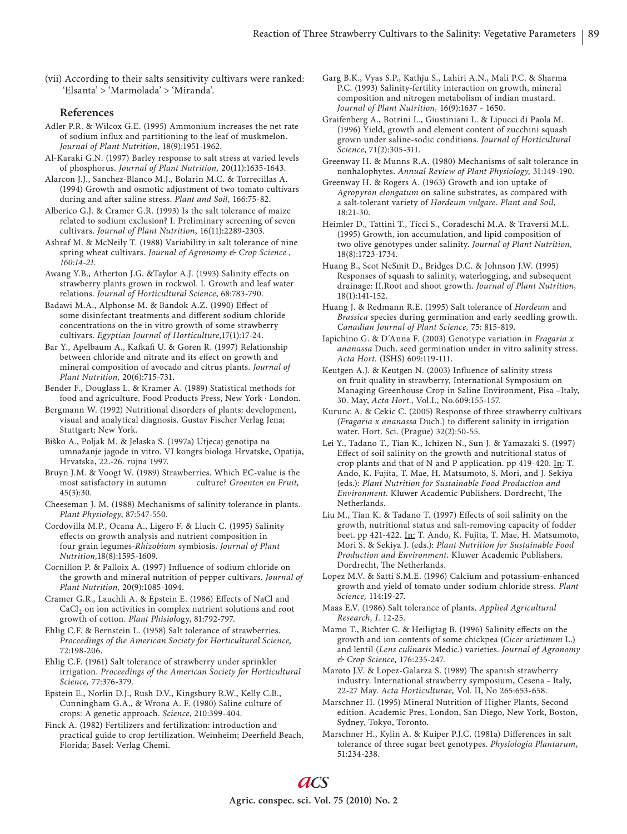(vii) According to their salts sensitivity cultivars were ranked: 'Elsanta' > 'Marmolada' > 'Miranda'.

## **References**

Adler P.R. & Wilcox G.E. (1995) Ammonium increases the net rate of sodium influx and partitioning to the leaf of muskmelon. *Journal of Plant Nutrition*, 18(9):1951-1962.

- Al-Karaki G.N. (1997) Barley response to salt stress at varied levels of phosphorus. *Journal of Plant Nutrition,* 20(11):1635-1643.
- Alarcon J.J., Sanchez-Blanco M.J., Bolarin M.C. & Torrecillas A. (1994) Growth and osmotic adjustment of two tomato cultivars during and after saline stress. *Plant and Soil*, 166:75-82.
- Alberico G.J. & Cramer G.R. (1993) Is the salt tolerance of maize related to sodium exclusion? I. Preliminary screening of seven cultivars. *Journal of Plant Nutrition*, 16(11):2289-2303.
- Ashraf M. & McNeily T. (1988) Variability in salt tolerance of nine spring wheat cultivars. *Journal of Agronomy & Crop Science , 160:14-21.*

Awang Y.B., Atherton J.G. &Taylor A.J. (1993) Salinity effects on strawberry plants grown in rockwol. I. Growth and leaf water relations. *Journal of Horticultural Science*, 68:783-790.

Badawi M.A., Alphonse M. & Bandok A.Z. (1990) Effect of some disinfectant treatments and different sodium chloride concentrations on the in vitro growth of some strawberry cultivars. *Egyptian Journal of Horticulture,*17(1):17-24.

Bar Y., Apelbaum A., Kafkafi U. & Goren R. (1997) Relationship between chloride and nitrate and its effect on growth and mineral composition of avocado and citrus plants. *Journal of Plant Nutrition,* 20(6):715-731.

Bender F., Douglass L. & Kramer A. (1989) Statistical methods for food and agriculture. Food Products Press, New York . London.

Bergmann W. (1992) Nutritional disorders of plants: development, visual and analytical diagnosis. Gustav Fischer Verlag Jena; Stuttgart; New York.

Biško A., Poljak M. & Jelaska S. (1997a) Utjecaj genotipa na umnažanje jagode in vitro. VI kongrs biologa Hrvatske, Opatija, Hrvatska, 22.-26. rujna 1997.

Bruyn J.M. & Voogt W. (1989) Strawberries. Which EC-value is the most satisfactory in autumn culture? *Groenten en Fruit,* 45(3):30.

Cheeseman J. M. (1988) Mechanisms of salinity tolerance in plants. *Plant Physiology*, 87:547-550.

Cordovilla M.P., Ocana A., Ligero F. & Lluch C. (1995) Salinity effects on growth analysis and nutrient composition in four grain legumes-*Rhizobium* symbiosis. *Journal of Plant Nutrition,*18(8):1595-1609.

Cornillon P. & Palloix A. (1997) Influence of sodium chloride on the growth and mineral nutrition of pepper cultivars. *Journal of Plant Nutrition,* 20(9):1085-1094.

Cramer G.R., Lauchli A. & Epstein E. (1986) Effects of NaCl and  $CaCl<sub>2</sub>$  on ion activities in complex nutrient solutions and root growth of cotton. *Plant Phisiol*ogy, 81:792-797.

Ehlig C.F. & Bernstein L. (1958) Salt tolerance of strawberries. *Proceedings of the American Society for Horticultural Science,*  72:198-206.

Ehlig C.F. (1961) Salt tolerance of strawberry under sprinkler irrigation. *Proceedings of the American Society for Horticultural Science,* 77:376-379.

Epstein E., Norlin D.J., Rush D.V., Kingsbury R.W., Kelly C.B., Cunningham G.A., & Wrona A. F. (1980) Saline culture of crops: A genetic approach. *Science*, 210:399-404.

Finck A. (1982) Fertilizers and fertilization: introduction and practical guide to crop fertilization. Weinheim; Deerfield Beach, Florida; Basel: Verlag Chemi.

- Garg B.K., Vyas S.P., Kathju S., Lahiri A.N., Mali P.C. & Sharma P.C. (1993) Salinity-fertility interaction on growth, mineral composition and nitrogen metabolism of indian mustard. *Journal of Plant Nutrition,* 16(9):1637 - 1650.
- Graifenberg A., Botrini L., Giustiniani L. & Lipucci di Paola M. (1996) Yield, growth and element content of zucchini squash grown under saline-sodic conditions. *Journal of Horticultural Science*, 71(2):305-311.
- Greenway H. & Munns R.A. (1980) Mechanisms of salt tolerance in nonhalophytes. *Annual Review of Plant Physiology,* 31:149-190.
- Greenway H. & Rogers A. (1963) Growth and ion uptake of *Agropyron elongatum* on saline substrates, as compared with a salt-tolerant variety of *Hordeum vulgare*. *Plant and Soil*, 18:21-30.

Heimler D., Tattini T., Ticci S., Coradeschi M.A. & Traversi M.L. (1995) Growth, ion accumulation, and lipid composition of two olive genotypes under salinity. *Journal of Plant Nutrition,*  18(8):1723-1734.

Huang B., Scot NeSmit D., Bridges D.C. & Johnson J.W. (1995) Responses of squash to salinity, waterlogging, and subsequent drainage: II.Root and shoot growth. *Journal of Plant Nutrition,*  18(1):141-152.

Huang J. & Redmann R.E. (1995) Salt tolerance of *Hordeum* and *Brassica* species during germination and early seedling growth. *Canadian Journal of Plant Science,* 75: 815-819.

Iapichino G. & D΄Anna F. (2003) Genotype variation in *Fragaria x ananassa* Duch. seed germination under in vitro salinity stress. *Acta Hort.* (ISHS) 609:119-111.

Keutgen A.J. & Keutgen N. (2003) Influence of salinity stress on fruit quality in strawberry, International Symposium on Managing Greenhouse Crop in Saline Environment, Pisa –Italy, 30. May, *Acta Hort.,* Vol.I., No.609:155-157.

Kurunc A. & Cekic C. (2005) Response of three strawberry cultivars (Fragaria x ananassa Duch.) to different salinity in irrigation water. Hort. Sci. (Prague) 32(2):50-55.

- Lei Y., Tadano T., Tian K., Ichizen N., Sun J. & Yamazaki S. (1997) Effect of soil salinity on the growth and nutritional status of crop plants and that of N and P application. pp 419-420. In: T. Ando, K. Fujita, T. Mae, H. Matsumoto, S. Mori, and J. Sekiya (eds.): *Plant Nutrition for Sustainable Food Production and*  Environment. Kluwer Academic Publishers. Dordrecht, The **Netherlands**
- Liu M., Tian K. & Tadano T. (1997) Effects of soil salinity on the growth, nutritional status and salt-removing capacity of fodder beet. pp 421-422. In: T. Ando, K. Fujita, T. Mae, H. Matsumoto, Mori S. & Sekiya J. (eds.): *Plant Nutrition for Sustainable Food Production and Environment.* Kluwer Academic Publishers. Dordrecht, The Netherlands.

Lopez M.V. & Satti S.M.E. (1996) Calcium and potassium-enhanced growth and yield of tomato under sodium chloride stress. *Plant Science,* 114:19-27.

Maas E.V. (1986) Salt tolerance of plants. *Applied Agricultural Research, I*. 12-25.

Mamo T., Richter C. & Heiligtag B. (1996) Salinity effects on the growth and ion contents of some chickpea (*Cicer arietinum* L.) and lentil (*Lens culinaris* Medic.) varieties. *Journal of Agronomy & Crop Science,* 176:235-247.

Maroto J.V. & Lopez-Galarza S. (1989) The spanish strawberry industry. International strawberry symposium, Cesena - Italy, 22-27 May. *Acta Horticulturae,* Vol. II, No 265:653-658.

Marschner H. (1995) Mineral Nutrition of Higher Plants, Second edition. Academic Pres, London, San Diego, New York, Boston, Sydney, Tokyo, Toronto.

Marschner H., Kylin A. & Kuiper P.J.C. (1981a) Differences in salt tolerance of three sugar beet genotypes. *Physiologia Plantarum*, 51:234-238.